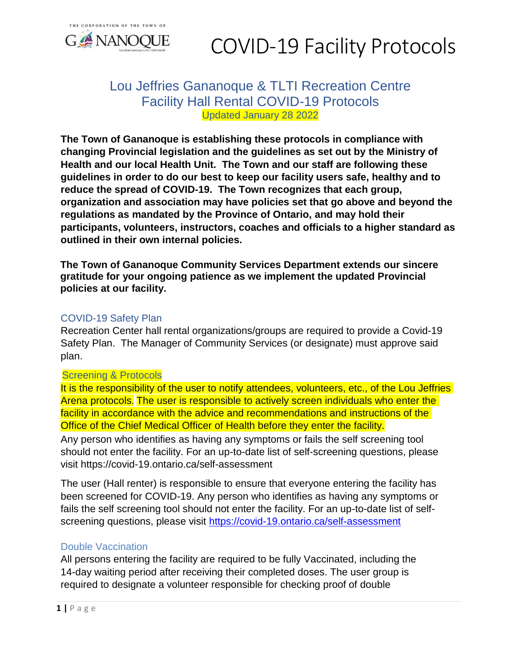

# Lou Jeffries Gananoque & TLTI Recreation Centre Facility Hall Rental COVID-19 Protocols Updated January 28 2022

**The Town of Gananoque is establishing these protocols in compliance with changing Provincial legislation and the guidelines as set out by the Ministry of Health and our local Health Unit. The Town and our staff are following these guidelines in order to do our best to keep our facility users safe, healthy and to reduce the spread of COVID-19. The Town recognizes that each group, organization and association may have policies set that go above and beyond the regulations as mandated by the Province of Ontario, and may hold their participants, volunteers, instructors, coaches and officials to a higher standard as outlined in their own internal policies.**

**The Town of Gananoque Community Services Department extends our sincere gratitude for your ongoing patience as we implement the updated Provincial policies at our facility.** 

## COVID-19 Safety Plan

Recreation Center hall rental organizations/groups are required to provide a Covid-19 Safety Plan. The Manager of Community Services (or designate) must approve said plan.

## Screening & Protocols

It is the responsibility of the user to notify attendees, volunteers, etc., of the Lou Jeffries Arena protocols. The user is responsible to actively screen individuals who enter the facility in accordance with the advice and recommendations and instructions of the Office of the Chief Medical Officer of Health before they enter the facility.

Any person who identifies as having any symptoms or fails the self screening tool should not enter the facility. For an up-to-date list of self-screening questions, please visit https://covid-19.ontario.ca/self-assessment

The user (Hall renter) is responsible to ensure that everyone entering the facility has been screened for COVID-19. Any person who identifies as having any symptoms or fails the self screening tool should not enter the facility. For an up-to-date list of selfscreening questions, please visit<https://covid-19.ontario.ca/self-assessment>

## Double Vaccination

All persons entering the facility are required to be fully Vaccinated, including the 14-day waiting period after receiving their completed doses. The user group is required to designate a volunteer responsible for checking proof of double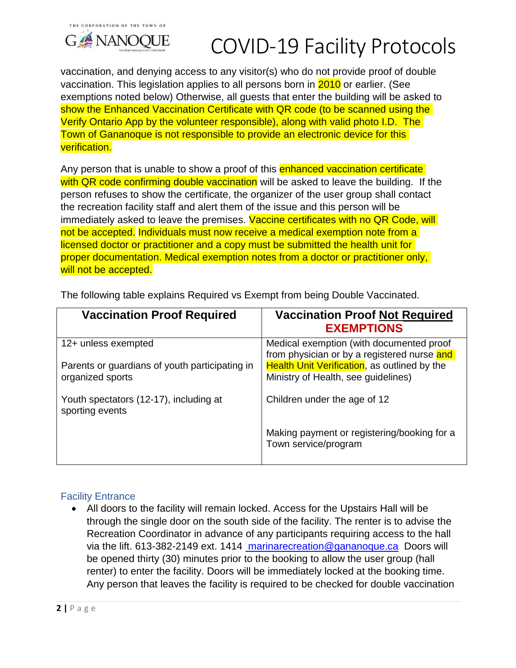

vaccination, and denying access to any visitor(s) who do not provide proof of double vaccination. This legislation applies to all persons born in 2010 or earlier. (See exemptions noted below) Otherwise, all guests that enter the building will be asked to show the Enhanced Vaccination Certificate with QR code (to be scanned using the Verify Ontario App by the volunteer responsible), along with valid photo I.D. The Town of Gananoque is not responsible to provide an electronic device for this verification.

Any person that is unable to show a proof of this enhanced vaccination certificate with QR code confirming double vaccination will be asked to leave the building. If the person refuses to show the certificate, the organizer of the user group shall contact the recreation facility staff and alert them of the issue and this person will be immediately asked to leave the premises. Vaccine certificates with no QR Code, will not be accepted. Individuals must now receive a medical exemption note from a licensed doctor or practitioner and a copy must be submitted the health unit for proper documentation. Medical exemption notes from a doctor or practitioner only, will not be accepted.

| <b>Vaccination Proof Required</b>                                  | <b>Vaccination Proof Not Required</b><br><b>EXEMPTIONS</b>                                  |
|--------------------------------------------------------------------|---------------------------------------------------------------------------------------------|
| 12+ unless exempted                                                | Medical exemption (with documented proof<br>from physician or by a registered nurse and     |
| Parents or guardians of youth participating in<br>organized sports | <b>Health Unit Verification</b> , as outlined by the<br>Ministry of Health, see guidelines) |
| Youth spectators (12-17), including at<br>sporting events          | Children under the age of 12                                                                |
|                                                                    | Making payment or registering/booking for a<br>Town service/program                         |

The following table explains Required vs Exempt from being Double Vaccinated.

# Facility Entrance

 All doors to the facility will remain locked. Access for the Upstairs Hall will be through the single door on the south side of the facility. The renter is to advise the Recreation Coordinator in advance of any participants requiring access to the hall via the lift. 613-382-2149 ext. 1414 [marinarecreation@gananoque.ca](mailto:%20marinarecreation@gananoque.ca) Doors will be opened thirty (30) minutes prior to the booking to allow the user group (hall renter) to enter the facility. Doors will be immediately locked at the booking time. Any person that leaves the facility is required to be checked for double vaccination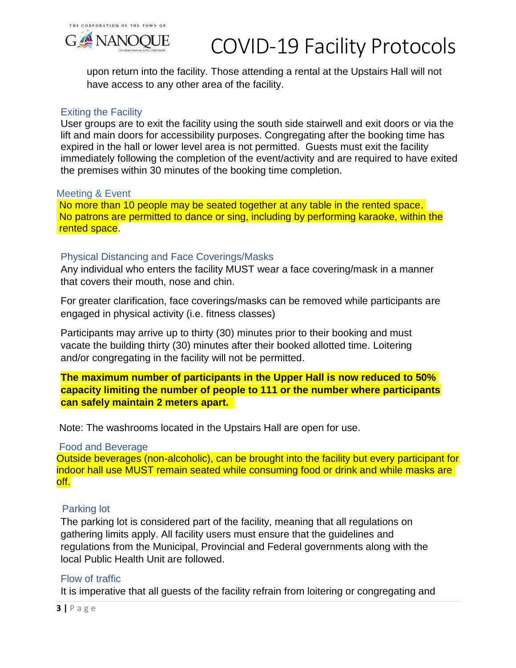

upon return into the facility. Those attending a rental at the Upstairs Hall will not have access to any other area of the facility.

#### Exiting the Facility

User groups are to exit the facility using the south side stairwell and exit doors or via the lift and main doors for accessibility purposes. Congregating after the booking time has expired in the hall or lower level area is not permitted. Guests must exit the facility immediately following the completion of the event/activity and are required to have exited the premises within 30 minutes of the booking time completion.

#### Meeting & Event

No more than 10 people may be seated together at any table in the rented space. No patrons are permitted to dance or sing, including by performing karaoke, within the rented space.

### Physical Distancing and Face Coverings/Masks

Any individual who enters the facility MUST wear a face covering/mask in a manner that covers their mouth, nose and chin.

For greater clarification, face coverings/masks can be removed while participants are engaged in physical activity (i.e. fitness classes)

Participants may arrive up to thirty (30) minutes prior to their booking and must vacate the building thirty (30) minutes after their booked allotted time. Loitering and/or congregating in the facility will not be permitted.

**The maximum number of participants in the Upper Hall is now reduced to 50% capacity limiting the number of people to 111 or the number where participants can safely maintain 2 meters apart.** 

Note: The washrooms located in the Upstairs Hall are open for use.

#### Food and Beverage

Outside beverages (non-alcoholic), can be brought into the facility but every participant for indoor hall use MUST remain seated while consuming food or drink and while masks are off.

#### Parking lot

The parking lot is considered part of the facility, meaning that all regulations on gathering limits apply. All facility users must ensure that the guidelines and regulations from the Municipal, Provincial and Federal governments along with the local Public Health Unit are followed.

#### Flow of traffic

It is imperative that all guests of the facility refrain from loitering or congregating and